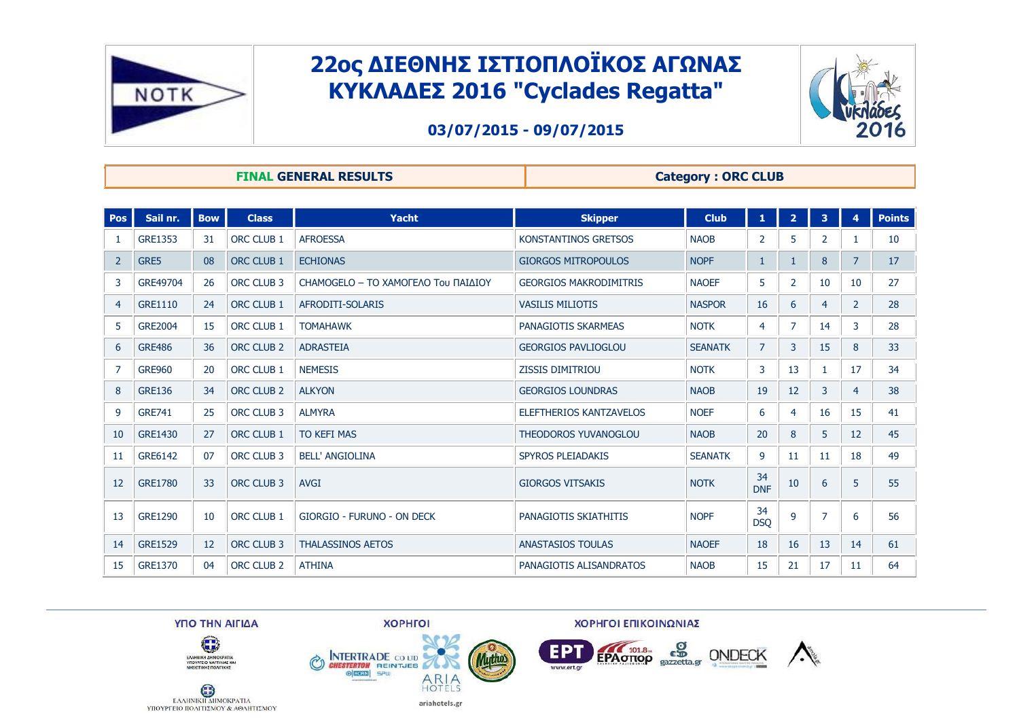

### **03/07/2015 - 09/07/2015**



**FINAL GENERAL RESULTS** Category **: ORC CLUB** 

| <b>Pos</b>     | Sail nr.       | <b>Bow</b> | <b>Class</b>          | <b>Yacht</b>                        | <b>Skipper</b>                | <b>Club</b>    | $\mathbf{1}$     | $\overline{2}$ | 3 <sup>7</sup> | 4                 | <b>Points</b> |
|----------------|----------------|------------|-----------------------|-------------------------------------|-------------------------------|----------------|------------------|----------------|----------------|-------------------|---------------|
|                | <b>GRE1353</b> | 31         | ORC CLUB 1            | <b>AFROESSA</b>                     | KONSTANTINOS GRETSOS          | <b>NAOB</b>    | 2                | 5              | $\overline{2}$ | 1                 | 10            |
| 2              | GRE5           | 08         | <b>ORC CLUB 1</b>     | <b>ECHIONAS</b>                     | <b>GIORGOS MITROPOULOS</b>    | <b>NOPF</b>    | $\mathbf{1}$     |                | 8              | $\overline{7}$    | 17            |
| 3              | GRE49704       | 26         | ORC CLUB 3            | CHAMOGELO - ΤΟ ΧΑΜΟΓΕΛΟ Του ΠΑΙΔΙΟΥ | <b>GEORGIOS MAKRODIMITRIS</b> | <b>NAOEF</b>   | 5                | $\overline{2}$ | 10             | 10                | 27            |
| $\overline{4}$ | GRE1110        | 24         | <b>ORC CLUB 1</b>     | AFRODITI-SOLARIS                    | <b>VASILIS MILIOTIS</b>       | <b>NASPOR</b>  | 16               | 6              | $\overline{4}$ | $\overline{2}$    | 28            |
| 5              | <b>GRE2004</b> | 15         | <b>ORC CLUB 1</b>     | <b>TOMAHAWK</b>                     | PANAGIOTIS SKARMEAS           | <b>NOTK</b>    | 4                | 7              | 14             | 3                 | 28            |
| 6              | <b>GRE486</b>  | 36         | ORC CLUB <sub>2</sub> | <b>ADRASTEIA</b>                    | <b>GEORGIOS PAVLIOGLOU</b>    | <b>SEANATK</b> | $\overline{7}$   | 3              | 15             | 8                 | 33            |
| 7              | <b>GRE960</b>  | 20         | <b>ORC CLUB 1</b>     | <b>NEMESIS</b>                      | <b>ZISSIS DIMITRIOU</b>       | <b>NOTK</b>    | 3                | 13             | 1              | 17                | 34            |
| 8              | <b>GRE136</b>  | 34         | <b>ORC CLUB 2</b>     | <b>ALKYON</b>                       | <b>GEORGIOS LOUNDRAS</b>      | <b>NAOB</b>    | 19               | 12             | 3              | 4                 | 38            |
| 9              | <b>GRE741</b>  | 25         | ORC CLUB 3            | <b>ALMYRA</b>                       | ELEFTHERIOS KANTZAVELOS       | <b>NOEF</b>    | 6                | 4              | 16             | 15                | 41            |
| 10             | <b>GRE1430</b> | 27         | ORC CLUB 1            | <b>TO KEFI MAS</b>                  | <b>THEODOROS YUVANOGLOU</b>   | <b>NAOB</b>    | 20               | 8              | 5              | $12 \overline{ }$ | 45            |
| 11             | GRE6142        | 07         | ORC CLUB 3            | <b>BELL' ANGIOLINA</b>              | <b>SPYROS PLEIADAKIS</b>      | <b>SEANATK</b> | 9                | 11             | 11             | 18                | 49            |
| 12             | <b>GRE1780</b> | 33         | ORC CLUB 3            | <b>AVGI</b>                         | <b>GIORGOS VITSAKIS</b>       | <b>NOTK</b>    | 34<br><b>DNF</b> | 10             | 6              | 5                 | 55            |
| 13             | <b>GRE1290</b> | 10         | <b>ORC CLUB 1</b>     | GIORGIO - FURUNO - ON DECK          | PANAGIOTIS SKIATHITIS         | <b>NOPF</b>    | 34<br><b>DSQ</b> | 9              | $\overline{7}$ | 6                 | 56            |
| 14             | <b>GRE1529</b> | 12         | ORC CLUB 3            | <b>THALASSINOS AETOS</b>            | <b>ANASTASIOS TOULAS</b>      | <b>NAOEF</b>   | 18               | 16             | 13             | 14                | 61            |
| 15             | <b>GRE1370</b> | 04         | <b>ORC CLUB 2</b>     | <b>ATHINA</b>                       | PANAGIOTIS ALISANDRATOS       | <b>NAOB</b>    | 15               | 21             | 17             | 11                | 64            |

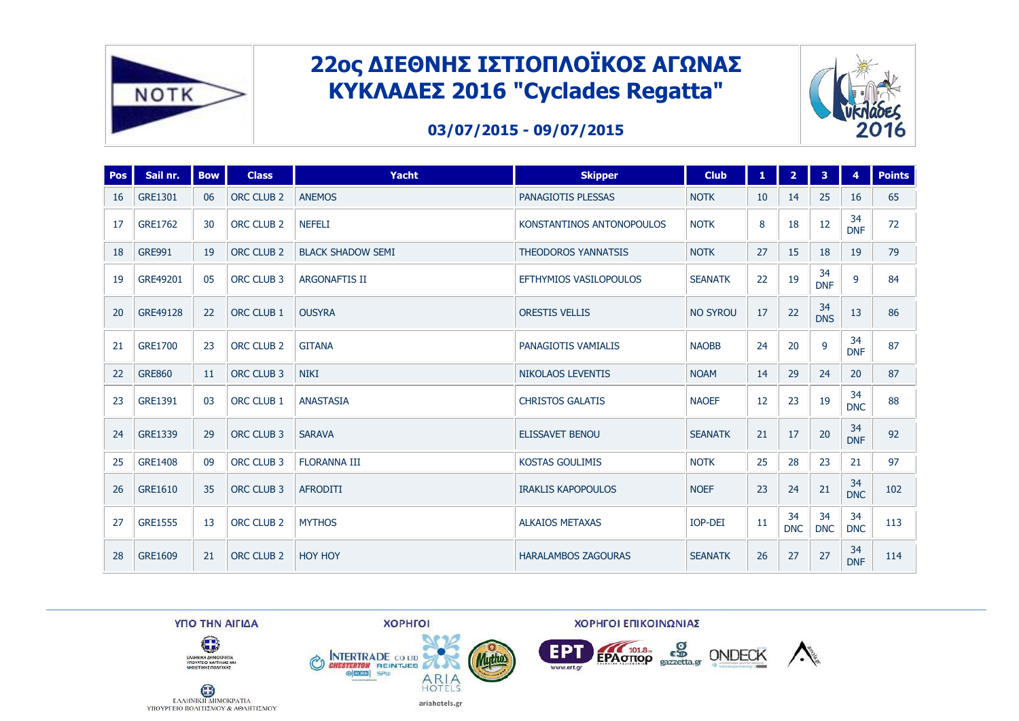

#### **03/07/2015 - 09/07/2015**

| <b>Pos</b> | Sail nr.       | <b>Bow</b> | <b>Class</b>          | Yacht                    | <b>Skipper</b>             | <b>Club</b>     | $\mathbf{1}$ | 2 <sup>1</sup>   | 3 <sup>°</sup>   | $\overline{\mathbf{4}}$ | <b>Points</b> |
|------------|----------------|------------|-----------------------|--------------------------|----------------------------|-----------------|--------------|------------------|------------------|-------------------------|---------------|
| 16         | <b>GRE1301</b> | 06         | <b>ORC CLUB 2</b>     | <b>ANEMOS</b>            | PANAGIOTIS PLESSAS         | <b>NOTK</b>     | 10           | 14               | 25               | 16                      | 65            |
| 17         | <b>GRE1762</b> | 30         | ORC CLUB 2            | <b>NEFELI</b>            | KONSTANTINOS ANTONOPOULOS  | <b>NOTK</b>     | 8            | 18               | 12               | 34<br><b>DNF</b>        | 72            |
| 18         | <b>GRE991</b>  | 19         | ORC CLUB <sub>2</sub> | <b>BLACK SHADOW SEMI</b> | <b>THEODOROS YANNATSIS</b> | <b>NOTK</b>     | 27           | 15               | 18               | 19                      | 79            |
| 19         | GRE49201       | 05         | ORC CLUB 3            | <b>ARGONAFTIS II</b>     | EFTHYMIOS VASILOPOULOS     | <b>SEANATK</b>  | 22           | 19               | 34<br><b>DNF</b> | 9                       | 84            |
| 20         | GRE49128       | 22         | <b>ORC CLUB 1</b>     | <b>OUSYRA</b>            | <b>ORESTIS VELLIS</b>      | <b>NO SYROU</b> | 17           | 22               | 34<br><b>DNS</b> | 13                      | 86            |
| 21         | <b>GRE1700</b> | 23         | ORC CLUB <sub>2</sub> | <b>GITANA</b>            | PANAGIOTIS VAMIALIS        | <b>NAOBB</b>    | 24           | 20               | 9                | 34<br><b>DNF</b>        | 87            |
| 22         | <b>GRE860</b>  | 11         | <b>ORC CLUB 3</b>     | <b>NIKI</b>              | <b>NIKOLAOS LEVENTIS</b>   | <b>NOAM</b>     | 14           | 29               | 24               | 20                      | 87            |
| 23         | <b>GRE1391</b> | 03         | ORC CLUB 1            | <b>ANASTASIA</b>         | <b>CHRISTOS GALATIS</b>    | <b>NAOEF</b>    | 12           | 23               | 19               | 34<br><b>DNC</b>        | 88            |
| 24         | <b>GRE1339</b> | 29         | <b>ORC CLUB 3</b>     | <b>SARAVA</b>            | <b>ELISSAVET BENOU</b>     | <b>SEANATK</b>  | 21           | 17               | 20               | 34<br><b>DNF</b>        | 92            |
| 25         | <b>GRE1408</b> | 09         | ORC CLUB 3            | <b>FLORANNA III</b>      | <b>KOSTAS GOULIMIS</b>     | <b>NOTK</b>     | 25           | 28               | 23               | 21                      | 97            |
| 26         | GRE1610        | 35         | <b>ORC CLUB 3</b>     | <b>AFRODITI</b>          | <b>IRAKLIS KAPOPOULOS</b>  | <b>NOEF</b>     | 23           | 24               | 21               | 34<br><b>DNC</b>        | 102           |
| 27         | <b>GRE1555</b> | 13         | ORC CLUB <sub>2</sub> | <b>MYTHOS</b>            | <b>ALKAIOS METAXAS</b>     | IOP-DEI         | 11           | 34<br><b>DNC</b> | 34<br><b>DNC</b> | 34<br><b>DNC</b>        | 113           |
| 28         | <b>GRE1609</b> | 21         | <b>ORC CLUB 2</b>     | <b>HOY HOY</b>           | <b>HARALAMBOS ZAGOURAS</b> | <b>SEANATK</b>  | 26           | 27               | 27               | 34<br><b>DNF</b>        | 114           |

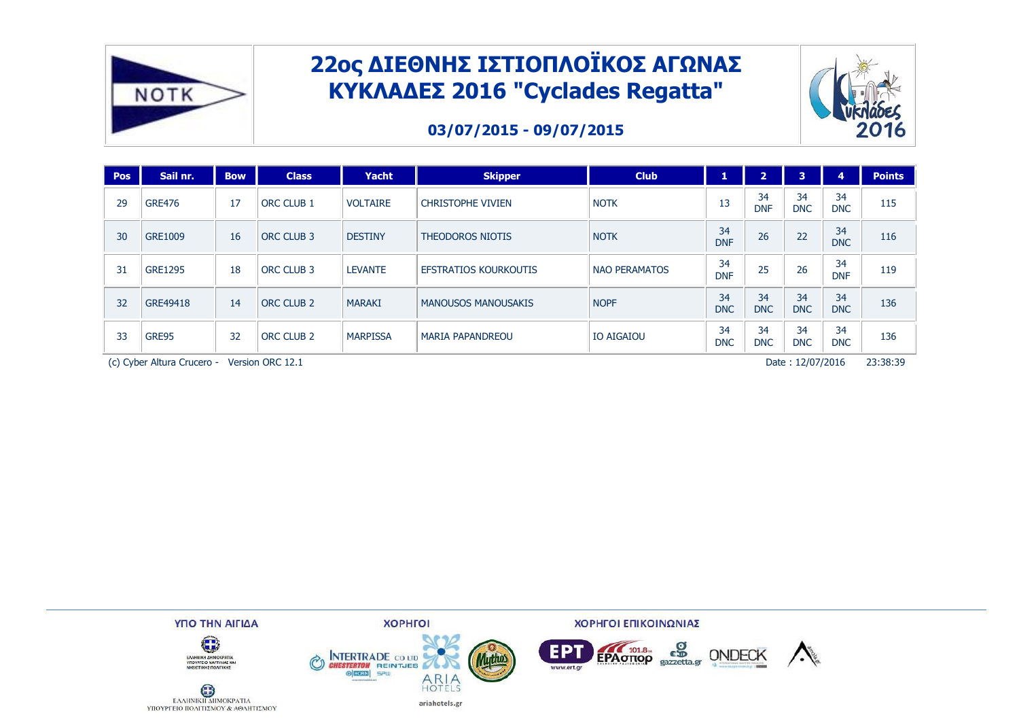

#### **03/07/2015 - 09/07/2015**



| <b>Pos</b> | Sail nr.       | <b>Bow</b> | <b>Class</b>          | Yacht           | <b>Skipper</b>               | <b>Club</b>          | ж.               | $\overline{2}$   | $3^{\circ}$      | 4                | <b>Points</b> |
|------------|----------------|------------|-----------------------|-----------------|------------------------------|----------------------|------------------|------------------|------------------|------------------|---------------|
| 29         | <b>GRE476</b>  | 17         | <b>ORC CLUB 1</b>     | <b>VOLTAIRE</b> | <b>CHRISTOPHE VIVIEN</b>     | <b>NOTK</b>          | 13               | 34<br><b>DNF</b> | 34<br><b>DNC</b> | 34<br><b>DNC</b> | 115           |
| 30         | GRE1009        | 16         | ORC CLUB 3            | <b>DESTINY</b>  | THEODOROS NIOTIS             | <b>NOTK</b>          | 34<br><b>DNF</b> | 26               | 22               | 34<br><b>DNC</b> | 116           |
| 31         | <b>GRE1295</b> | 18         | ORC CLUB 3            | <b>LEVANTE</b>  | <b>EFSTRATIOS KOURKOUTIS</b> | <b>NAO PERAMATOS</b> | 34<br><b>DNF</b> | 25               | 26               | 34<br><b>DNF</b> | 119           |
| 32         | GRE49418       | 14         | ORC CLUB <sub>2</sub> | <b>MARAKI</b>   | <b>MANOUSOS MANOUSAKIS</b>   | <b>NOPF</b>          | 34<br><b>DNC</b> | 34<br><b>DNC</b> | 34<br><b>DNC</b> | 34<br><b>DNC</b> | 136           |
| 33         | GRE95          | 32         | ORC CLUB <sub>2</sub> | <b>MARPISSA</b> | <b>MARIA PAPANDREOU</b>      | <b>IO AIGAIOU</b>    | 34<br><b>DNC</b> | 34<br><b>DNC</b> | 34<br><b>DNC</b> | 34<br><b>DNC</b> | 136           |

(c) Cyber Altura Crucero - Version ORC 12.1 **Participal Crucero - Version ORC 12.1** Pate : 12/07/2016 23:38:39

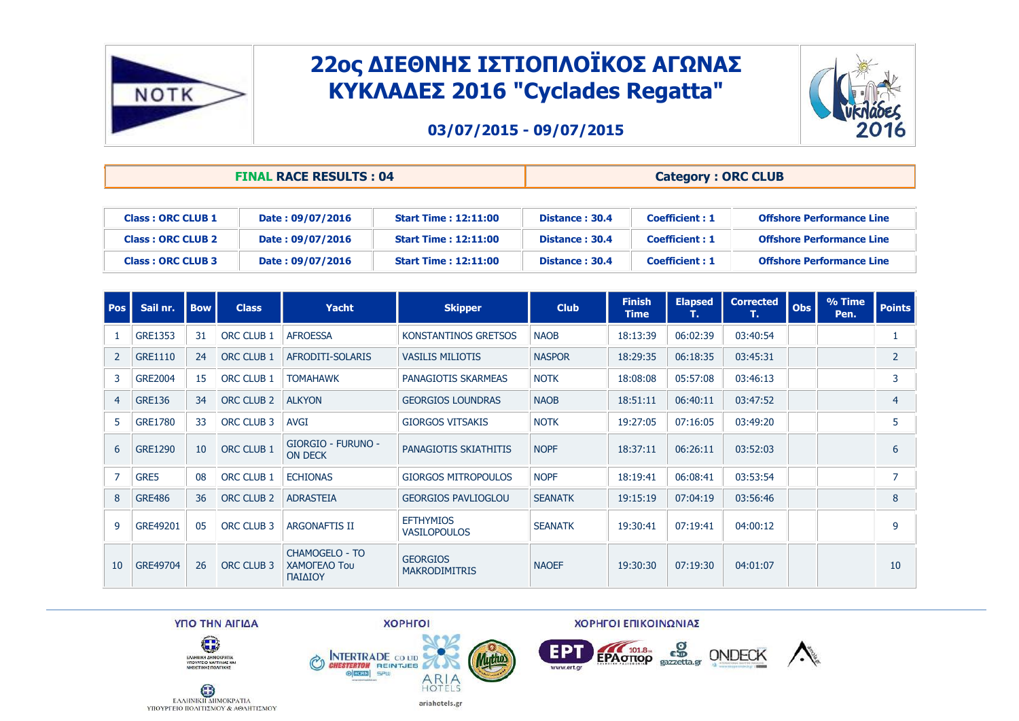

#### **03/07/2015 - 09/07/2015**



|                          | <b>FINAL RACE RESULTS: 04</b> |                             |                | <b>Category: ORC CLUB</b> |                                  |
|--------------------------|-------------------------------|-----------------------------|----------------|---------------------------|----------------------------------|
|                          |                               |                             |                |                           |                                  |
| <b>Class: ORC CLUB 1</b> | Date: 09/07/2016              | <b>Start Time: 12:11:00</b> | Distance: 30.4 | <b>Coefficient: 1</b>     | <b>Offshore Performance Line</b> |

| <b>Class: ORC CLUB 2</b> |              | Date: 09/07/2016 | <b>Start Time: 12:11:00</b> | Distance: 30.4 |               | <b>Coefficient : 1</b> |                     | <b>Offshore Performance Line</b> |               |
|--------------------------|--------------|------------------|-----------------------------|----------------|---------------|------------------------|---------------------|----------------------------------|---------------|
| <b>Class: ORC CLUB 3</b> |              | Date: 09/07/2016 | <b>Start Time: 12:11:00</b> | Distance: 30.4 |               | <b>Coefficient : 1</b> |                     | <b>Offshore Performance Line</b> |               |
|                          |              |                  |                             |                |               |                        |                     |                                  |               |
| Pos   Sail nr.   Bow     | <b>Class</b> | Yacht            | <b>Skipper</b>              | <b>Club</b>    | <b>Finish</b> |                        | Elapsed   Corrected | $\frac{1}{2}$ % Time             | <b>Points</b> |

| <b>Pos</b>     | Sail nr.       | <b>Bow</b> | <b>Class</b>          | <b>Yacht</b>                                            | <b>Skipper</b>                          | <b>Club</b>    | <b>Finish</b><br><b>Time</b> | <b>Elapsed</b><br>т. | <b>Corrected</b><br>т. | <b>Obs</b> | % Time<br>Pen. | <b>Points</b>  |
|----------------|----------------|------------|-----------------------|---------------------------------------------------------|-----------------------------------------|----------------|------------------------------|----------------------|------------------------|------------|----------------|----------------|
|                | GRE1353        | 31         | ORC CLUB 1            | <b>AFROESSA</b>                                         | KONSTANTINOS GRETSOS                    | <b>NAOB</b>    | 18:13:39                     | 06:02:39             | 03:40:54               |            |                |                |
| 2              | GRE1110        | 24         | ORC CLUB 1            | AFRODITI-SOLARIS                                        | <b>VASILIS MILIOTIS</b>                 | <b>NASPOR</b>  | 18:29:35                     | 06:18:35             | 03:45:31               |            |                | $\overline{2}$ |
| 3              | <b>GRE2004</b> | 15         | ORC CLUB 1            | <b>TOMAHAWK</b>                                         | PANAGIOTIS SKARMEAS                     | <b>NOTK</b>    | 18:08:08                     | 05:57:08             | 03:46:13               |            |                | 3              |
| $\overline{4}$ | <b>GRE136</b>  | 34         | ORC CLUB 2            | <b>ALKYON</b>                                           | <b>GEORGIOS LOUNDRAS</b>                | <b>NAOB</b>    | 18:51:11                     | 06:40:11             | 03:47:52               |            |                | $\overline{4}$ |
| 5              | <b>GRE1780</b> | 33         | ORC CLUB 3            | <b>AVGI</b>                                             | <b>GIORGOS VITSAKIS</b>                 | <b>NOTK</b>    | 19:27:05                     | 07:16:05             | 03:49:20               |            |                | 5              |
| 6              | <b>GRE1290</b> | 10         | ORC CLUB 1            | GIORGIO - FURUNO -<br><b>ON DECK</b>                    | PANAGIOTIS SKIATHITIS                   | <b>NOPF</b>    | 18:37:11                     | 06:26:11             | 03:52:03               |            |                | 6              |
|                | GRE5           | 08         | ORC CLUB 1            | <b>ECHIONAS</b>                                         | <b>GIORGOS MITROPOULOS</b>              | <b>NOPF</b>    | 18:19:41                     | 06:08:41             | 03:53:54               |            |                | $\overline{7}$ |
| 8              | <b>GRE486</b>  | 36         | ORC CLUB <sub>2</sub> | <b>ADRASTEIA</b>                                        | <b>GEORGIOS PAVLIOGLOU</b>              | <b>SEANATK</b> | 19:15:19                     | 07:04:19             | 03:56:46               |            |                | 8              |
| 9              | GRE49201       | 05         | ORC CLUB 3            | <b>ARGONAFTIS II</b>                                    | <b>EFTHYMIOS</b><br><b>VASILOPOULOS</b> | <b>SEANATK</b> | 19:30:41                     | 07:19:41             | 04:00:12               |            |                | 9              |
| 10             | GRE49704       | 26         | ORC CLUB 3            | <b>CHAMOGELO - TO</b><br><b>XAMOFEAO Tou</b><br>ΠΑΙΔΙΟΥ | <b>GEORGIOS</b><br><b>MAKRODIMITRIS</b> | <b>NAOEF</b>   | 19:30:30                     | 07:19:30             | 04:01:07               |            |                | 10             |

**Muthos** 

ΥΠΟ ΤΗΝ ΑΙΓΙΔΑ

**XOPHFOI** 

ΧΟΡΗΓΟΙ ΕΠΙΚΟΙΝΩΝΙΑΣ



 $\bigoplus_{\text{EAAHNIKH AHMOKPATH}}$ 

ΥΠΟΥΡΓΕΙΟ ΠΟΛΙΤΙΣΜΟΥ & ΑΘΛΗΤΙΣΜΟΥ



ariahotels.gr



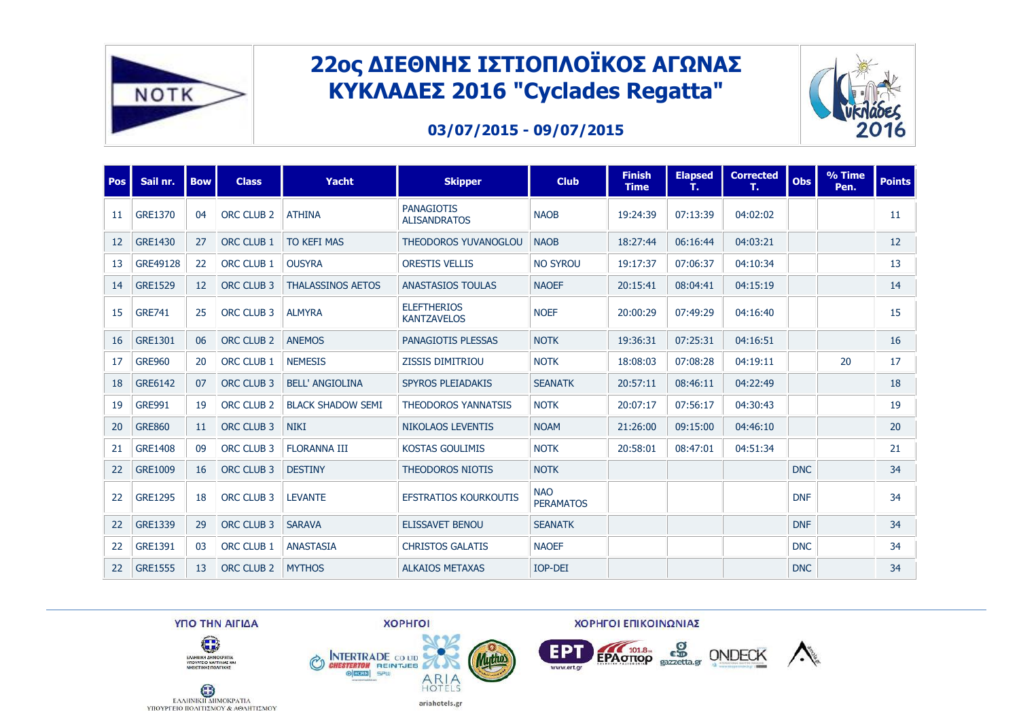

#### **03/07/2015 - 09/07/2015**

| <b>Pos</b> | Sail nr.       | <b>Bow</b> | <b>Class</b>          | <b>Yacht</b>             | <b>Skipper</b>                           | <b>Club</b>                    | <b>Finish</b><br><b>Time</b> | <b>Elapsed</b><br>т. | <b>Corrected</b><br>т. | <b>Obs</b> | % Time<br>Pen. | <b>Points</b> |
|------------|----------------|------------|-----------------------|--------------------------|------------------------------------------|--------------------------------|------------------------------|----------------------|------------------------|------------|----------------|---------------|
| 11         | <b>GRE1370</b> | 04         | <b>ORC CLUB 2</b>     | <b>ATHINA</b>            | <b>PANAGIOTIS</b><br><b>ALISANDRATOS</b> | <b>NAOB</b>                    | 19:24:39                     | 07:13:39             | 04:02:02               |            |                | 11            |
| 12         | <b>GRE1430</b> | 27         | <b>ORC CLUB 1</b>     | <b>TO KEFI MAS</b>       | THEODOROS YUVANOGLOU                     | <b>NAOB</b>                    | 18:27:44                     | 06:16:44             | 04:03:21               |            |                | 12            |
| 13         | GRE49128       | 22         | ORC CLUB 1            | <b>OUSYRA</b>            | <b>ORESTIS VELLIS</b>                    | <b>NO SYROU</b>                | 19:17:37                     | 07:06:37             | 04:10:34               |            |                | 13            |
| 14         | <b>GRE1529</b> | 12         | ORC CLUB 3            | <b>THALASSINOS AETOS</b> | <b>ANASTASIOS TOULAS</b>                 | <b>NAOEF</b>                   | 20:15:41                     | 08:04:41             | 04:15:19               |            |                | 14            |
| 15         | <b>GRE741</b>  | 25         | ORC CLUB 3            | <b>ALMYRA</b>            | <b>ELEFTHERIOS</b><br><b>KANTZAVELOS</b> | <b>NOEF</b>                    | 20:00:29                     | 07:49:29             | 04:16:40               |            |                | 15            |
| 16         | <b>GRE1301</b> | 06         | ORC CLUB <sub>2</sub> | <b>ANEMOS</b>            | PANAGIOTIS PLESSAS                       | <b>NOTK</b>                    | 19:36:31                     | 07:25:31             | 04:16:51               |            |                | 16            |
| 17         | <b>GRE960</b>  | 20         | ORC CLUB 1            | <b>NEMESIS</b>           | <b>ZISSIS DIMITRIOU</b>                  | <b>NOTK</b>                    | 18:08:03                     | 07:08:28             | 04:19:11               |            | 20             | 17            |
| 18         | GRE6142        | 07         | <b>ORC CLUB 3</b>     | <b>BELL' ANGIOLINA</b>   | <b>SPYROS PLEIADAKIS</b>                 | <b>SEANATK</b>                 | 20:57:11                     | 08:46:11             | 04:22:49               |            |                | 18            |
| 19         | <b>GRE991</b>  | 19         | ORC CLUB <sub>2</sub> | <b>BLACK SHADOW SEMI</b> | <b>THEODOROS YANNATSIS</b>               | <b>NOTK</b>                    | 20:07:17                     | 07:56:17             | 04:30:43               |            |                | 19            |
| 20         | <b>GRE860</b>  | 11         | ORC CLUB 3            | <b>NIKI</b>              | <b>NIKOLAOS LEVENTIS</b>                 | <b>NOAM</b>                    | 21:26:00                     | 09:15:00             | 04:46:10               |            |                | 20            |
| 21         | <b>GRE1408</b> | 09         | ORC CLUB 3            | <b>FLORANNA III</b>      | <b>KOSTAS GOULIMIS</b>                   | <b>NOTK</b>                    | 20:58:01                     | 08:47:01             | 04:51:34               |            |                | 21            |
| 22         | <b>GRE1009</b> | 16         | ORC CLUB 3            | <b>DESTINY</b>           | <b>THEODOROS NIOTIS</b>                  | <b>NOTK</b>                    |                              |                      |                        | <b>DNC</b> |                | 34            |
| 22         | <b>GRE1295</b> | 18         | ORC CLUB 3            | <b>LEVANTE</b>           | <b>EFSTRATIOS KOURKOUTIS</b>             | <b>NAO</b><br><b>PERAMATOS</b> |                              |                      |                        | <b>DNF</b> |                | 34            |
| 22         | GRE1339        | 29         | ORC CLUB 3            | <b>SARAVA</b>            | <b>ELISSAVET BENOU</b>                   | <b>SEANATK</b>                 |                              |                      |                        | <b>DNF</b> |                | 34            |
| 22         | GRE1391        | 03         | ORC CLUB 1            | <b>ANASTASIA</b>         | <b>CHRISTOS GALATIS</b>                  | <b>NAOEF</b>                   |                              |                      |                        | <b>DNC</b> |                | 34            |
| 22         | <b>GRE1555</b> | 13         | ORC CLUB <sub>2</sub> | <b>MYTHOS</b>            | <b>ALKAIOS METAXAS</b>                   | IOP-DEI                        |                              |                      |                        | <b>DNC</b> |                | 34            |

**Muthos** 



**XOPHFOI** 

ΧΟΡΗΓΟΙ ΕΠΙΚΟΙΝΩΝΙΑΣ





ariahotels.gr







 $\bigoplus_{\text{EAAHNIKH AHMOKPATH}}$ ΥΠΟΥΡΓΕΙΟ ΠΟΛΙΤΙΣΜΟΥ & ΑΘΛΗΤΙΣΜΟΥ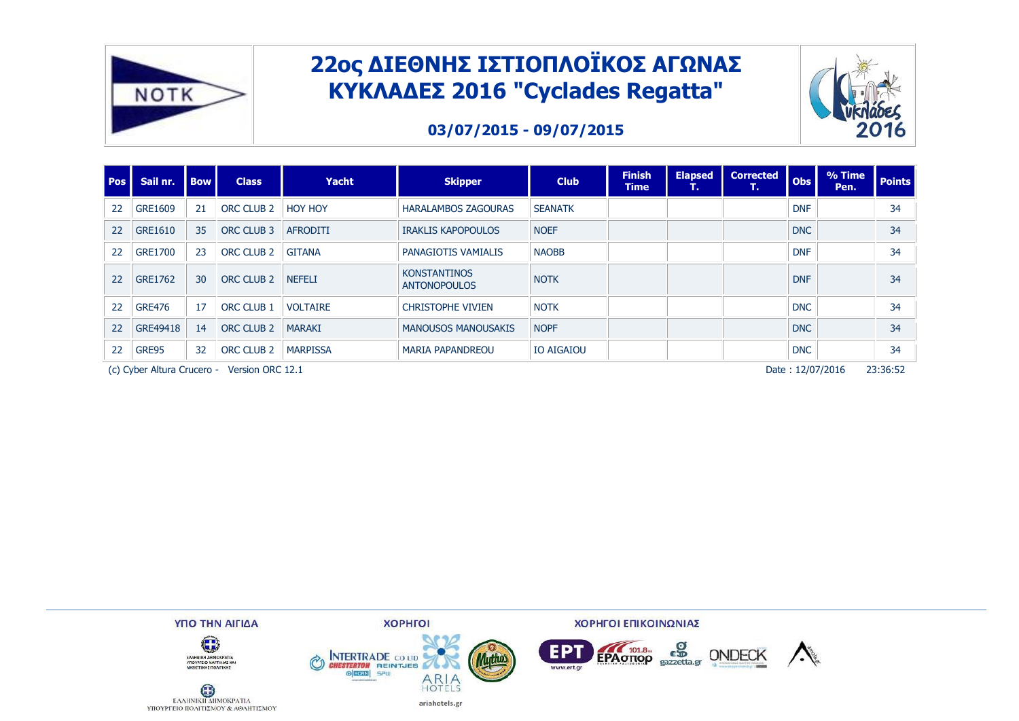

### **03/07/2015 - 09/07/2015**



(c) Cyber Altura Crucero - Version ORC 12.1 PFITS 23:36:52

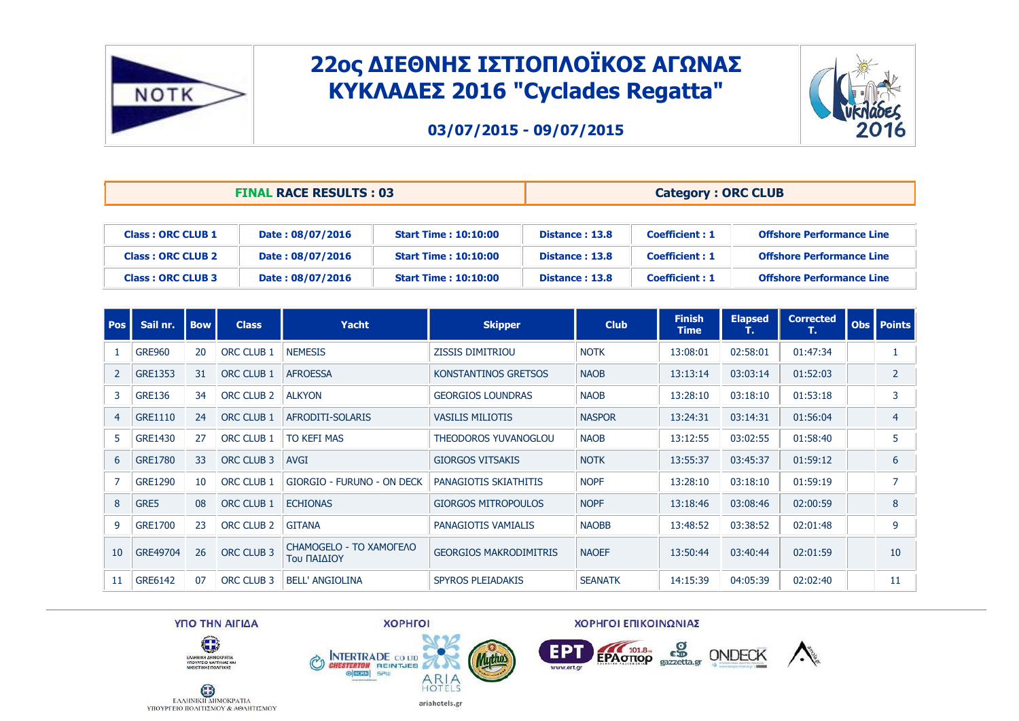

### **03/07/2015 - 09/07/2015**



|                          | <b>FINAL RACE RESULTS: 03</b> |                             | <b>Category: ORC CLUB</b> |                       |                                  |  |  |  |  |  |
|--------------------------|-------------------------------|-----------------------------|---------------------------|-----------------------|----------------------------------|--|--|--|--|--|
|                          |                               |                             |                           |                       |                                  |  |  |  |  |  |
| <b>Class: ORC CLUB 1</b> | Date: 08/07/2016              | <b>Start Time: 10:10:00</b> | Distance: 13.8            | <b>Coefficient: 1</b> | <b>Offshore Performance Line</b> |  |  |  |  |  |
| <b>Class: ORC CLUB 2</b> | Date: 08/07/2016              | <b>Start Time: 10:10:00</b> | Distance: 13.8            | <b>Coefficient: 1</b> | <b>Offshore Performance Line</b> |  |  |  |  |  |
| <b>Class: ORC CLUB 3</b> | Date: 08/07/2016              | <b>Start Time: 10:10:00</b> | Distance: 13.8            | <b>Coefficient: 1</b> | <b>Offshore Performance Line</b> |  |  |  |  |  |

| <b>Pos</b>     | Sail nr.       | <b>Bow</b> | <b>Class</b>          | Yacht                                  | <b>Skipper</b>                | <b>Club</b>    | <b>Finish</b><br>Time | <b>Elapsed</b><br>т. | <b>Corrected</b><br>т. | Obs   Points   |
|----------------|----------------|------------|-----------------------|----------------------------------------|-------------------------------|----------------|-----------------------|----------------------|------------------------|----------------|
|                | <b>GRE960</b>  | 20         | ORC CLUB 1            | <b>NEMESIS</b>                         | <b>ZISSIS DIMITRIOU</b>       | <b>NOTK</b>    | 13:08:01              | 02:58:01             | 01:47:34               |                |
| 2              | <b>GRE1353</b> | 31         | ORC CLUB 1            | <b>AFROESSA</b>                        | KONSTANTINOS GRETSOS          | <b>NAOB</b>    | 13:13:14              | 03:03:14             | 01:52:03               | $\overline{2}$ |
| 3              | <b>GRE136</b>  | 34         | ORC CLUB <sub>2</sub> | <b>ALKYON</b>                          | <b>GEORGIOS LOUNDRAS</b>      | <b>NAOB</b>    | 13:28:10              | 03:18:10             | 01:53:18               | 3              |
| $\overline{4}$ | <b>GRE1110</b> | 24         | ORC CLUB 1            | AFRODITI-SOLARIS                       | <b>VASILIS MILIOTIS</b>       | <b>NASPOR</b>  | 13:24:31              | 03:14:31             | 01:56:04               | 4              |
| 5              | <b>GRE1430</b> | 27         | ORC CLUB 1            | <b>TO KEFI MAS</b>                     | THEODOROS YUVANOGLOU          | <b>NAOB</b>    | 13:12:55              | 03:02:55             | 01:58:40               | 5              |
| 6              | <b>GRE1780</b> | 33         | ORC CLUB 3            | <b>AVGI</b>                            | <b>GIORGOS VITSAKIS</b>       | <b>NOTK</b>    | 13:55:37              | 03:45:37             | 01:59:12               | 6              |
|                | <b>GRE1290</b> | 10         | ORC CLUB 1            | GIORGIO - FURUNO - ON DECK             | PANAGIOTIS SKIATHITIS         | <b>NOPF</b>    | 13:28:10              | 03:18:10             | 01:59:19               | 7              |
| 8              | GRE5           | 08         | <b>ORC CLUB 1</b>     | <b>ECHIONAS</b>                        | <b>GIORGOS MITROPOULOS</b>    | <b>NOPF</b>    | 13:18:46              | 03:08:46             | 02:00:59               | 8              |
| 9              | <b>GRE1700</b> | 23         | ORC CLUB <sub>2</sub> | <b>GITANA</b>                          | PANAGIOTIS VAMIALIS           | <b>NAOBB</b>   | 13:48:52              | 03:38:52             | 02:01:48               | 9              |
| 10             | GRE49704       | 26         | ORC CLUB 3            | CHAMOGELO - TO XAMOFEAO<br>Του ΠΑΙΔΙΟΥ | <b>GEORGIOS MAKRODIMITRIS</b> | <b>NAOEF</b>   | 13:50:44              | 03:40:44             | 02:01:59               | 10             |
| 11             | GRE6142        | 07         | ORC CLUB 3            | <b>BELL' ANGIOLINA</b>                 | <b>SPYROS PLEIADAKIS</b>      | <b>SEANATK</b> | 14:15:39              | 04:05:39             | 02:02:40               | 11             |

ΥΠΟ ΤΗΝ ΑΙΓΙΔΑ

**XOPHFOI** 

ΧΟΡΗΓΟΙ ΕΠΙΚΟΙΝΩΝΙΑΣ













**Muthos**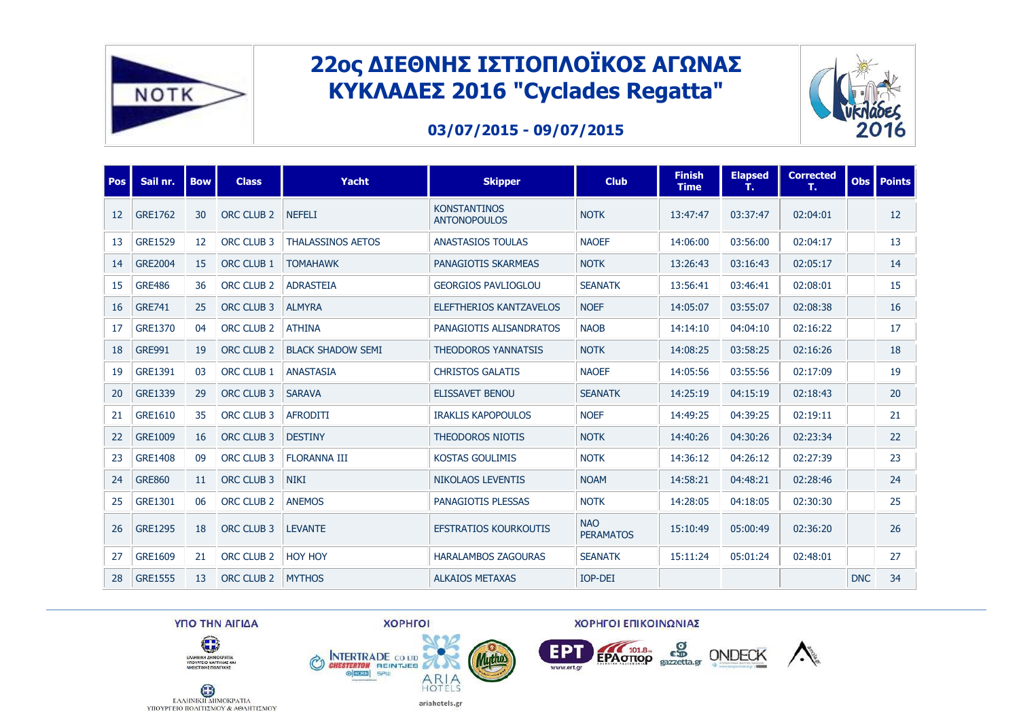

#### **03/07/2015 - 09/07/2015**



| Pos I | Sail nr.       | <b>Bow</b> | <b>Class</b>          | <b>Yacht</b>             | <b>Skipper</b>                             | <b>Club</b>                    | <b>Finish</b><br><b>Time</b> | <b>Elapsed</b><br>т. | <b>Corrected</b><br>т. |            | <b>Obs</b> Points |
|-------|----------------|------------|-----------------------|--------------------------|--------------------------------------------|--------------------------------|------------------------------|----------------------|------------------------|------------|-------------------|
| 12    | <b>GRE1762</b> | 30         | <b>ORC CLUB 2</b>     | <b>NEFELI</b>            | <b>KONSTANTINOS</b><br><b>ANTONOPOULOS</b> | <b>NOTK</b>                    | 13:47:47                     | 03:37:47             | 02:04:01               |            | 12                |
| 13    | <b>GRE1529</b> | 12         | ORC CLUB 3            | <b>THALASSINOS AETOS</b> | <b>ANASTASIOS TOULAS</b>                   | <b>NAOEF</b>                   | 14:06:00                     | 03:56:00             | 02:04:17               |            | 13                |
| 14    | <b>GRE2004</b> | 15         | ORC CLUB 1            | <b>TOMAHAWK</b>          | PANAGIOTIS SKARMEAS                        | <b>NOTK</b>                    | 13:26:43                     | 03:16:43             | 02:05:17               |            | 14                |
| 15    | <b>GRE486</b>  | 36         | ORC CLUB <sub>2</sub> | <b>ADRASTEIA</b>         | <b>GEORGIOS PAVLIOGLOU</b>                 | <b>SEANATK</b>                 | 13:56:41                     | 03:46:41             | 02:08:01               |            | 15                |
| 16    | <b>GRE741</b>  | 25         | ORC CLUB 3            | <b>ALMYRA</b>            | ELEFTHERIOS KANTZAVELOS                    | <b>NOEF</b>                    | 14:05:07                     | 03:55:07             | 02:08:38               |            | 16                |
| 17    | <b>GRE1370</b> | 04         | ORC CLUB <sub>2</sub> | <b>ATHINA</b>            | PANAGIOTIS ALISANDRATOS                    | <b>NAOB</b>                    | 14:14:10                     | 04:04:10             | 02:16:22               |            | 17                |
| 18    | <b>GRE991</b>  | 19         | <b>ORC CLUB 2</b>     | <b>BLACK SHADOW SEMI</b> | <b>THEODOROS YANNATSIS</b>                 | <b>NOTK</b>                    | 14:08:25                     | 03:58:25             | 02:16:26               |            | 18                |
| 19    | <b>GRE1391</b> | 03         | ORC CLUB 1            | <b>ANASTASIA</b>         | <b>CHRISTOS GALATIS</b>                    | <b>NAOEF</b>                   | 14:05:56                     | 03:55:56             | 02:17:09               |            | 19                |
| 20    | GRE1339        | 29         | <b>ORC CLUB 3</b>     | <b>SARAVA</b>            | <b>ELISSAVET BENOU</b>                     | <b>SEANATK</b>                 | 14:25:19                     | 04:15:19             | 02:18:43               |            | 20                |
| 21    | GRE1610        | 35         | ORC CLUB 3            | <b>AFRODITI</b>          | <b>IRAKLIS KAPOPOULOS</b>                  | <b>NOEF</b>                    | 14:49:25                     | 04:39:25             | 02:19:11               |            | 21                |
| 22    | <b>GRE1009</b> | 16         | <b>ORC CLUB 3</b>     | <b>DESTINY</b>           | <b>THEODOROS NIOTIS</b>                    | <b>NOTK</b>                    | 14:40:26                     | 04:30:26             | 02:23:34               |            | 22                |
| 23    | <b>GRE1408</b> | 09         | ORC CLUB 3            | <b>FLORANNA III</b>      | <b>KOSTAS GOULIMIS</b>                     | <b>NOTK</b>                    | 14:36:12                     | 04:26:12             | 02:27:39               |            | 23                |
| 24    | <b>GRE860</b>  | 11         | ORC CLUB 3            | <b>NIKI</b>              | <b>NIKOLAOS LEVENTIS</b>                   | <b>NOAM</b>                    | 14:58:21                     | 04:48:21             | 02:28:46               |            | 24                |
| 25    | <b>GRE1301</b> | 06         | ORC CLUB <sub>2</sub> | <b>ANEMOS</b>            | PANAGIOTIS PLESSAS                         | <b>NOTK</b>                    | 14:28:05                     | 04:18:05             | 02:30:30               |            | 25                |
| 26    | <b>GRE1295</b> | 18         | ORC CLUB 3            | <b>LEVANTE</b>           | <b>EFSTRATIOS KOURKOUTIS</b>               | <b>NAO</b><br><b>PERAMATOS</b> | 15:10:49                     | 05:00:49             | 02:36:20               |            | 26                |
| 27    | GRE1609        | 21         | ORC CLUB 2            | <b>HOY HOY</b>           | <b>HARALAMBOS ZAGOURAS</b>                 | <b>SEANATK</b>                 | 15:11:24                     | 05:01:24             | 02:48:01               |            | 27                |
| 28    | <b>GRE1555</b> | 13         | ORC CLUB <sub>2</sub> | <b>MYTHOS</b>            | <b>ALKAIOS METAXAS</b>                     | IOP-DEI                        |                              |                      |                        | <b>DNC</b> | 34                |

ΥΠΟ ΤΗΝ ΑΙΓΙΔΑ

**XOPHFOI** 

ΧΟΡΗΓΟΙ ΕΠΙΚΟΙΝΩΝΙΑΣ





ariahotels.gr







 $\bigoplus_{\text{EAAHNIKH AHMOKPATH}}$ ΥΠΟΥΡΓΕΙΟ ΠΟΛΙΤΙΣΜΟΥ & ΑΘΛΗΤΙΣΜΟΥ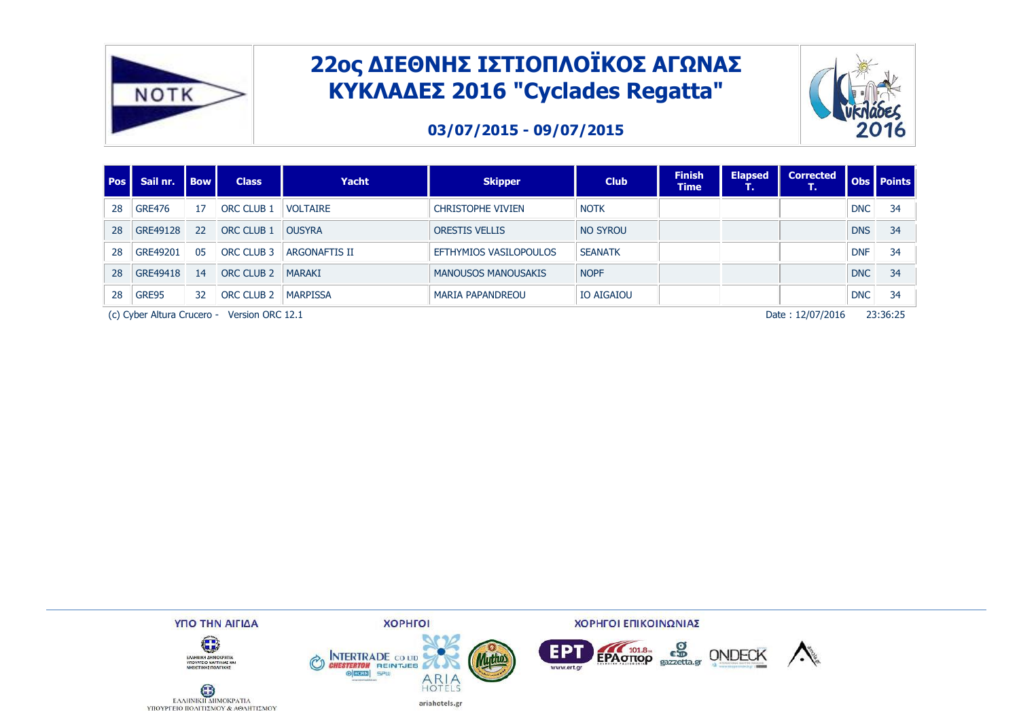

#### **03/07/2015 - 09/07/2015**



| <b>Pos</b> | Sail nr.      | <b>Bow</b> | <b>Class</b>      | <b>Yacht</b>         | <b>Skipper</b>             | <b>Club</b>       | <b>Finish</b><br><b>Time</b> | <b>Elapsed</b><br>т. | <b>Corrected</b><br>$\overline{\phantom{a}}$<br>ш. |            | <b>Obs</b> Points |
|------------|---------------|------------|-------------------|----------------------|----------------------------|-------------------|------------------------------|----------------------|----------------------------------------------------|------------|-------------------|
| 28         | <b>GRE476</b> | 17         | ORC CLUB 1        | <b>VOLTAIRE</b>      | <b>CHRISTOPHE VIVIEN</b>   | <b>NOTK</b>       |                              |                      |                                                    | <b>DNC</b> | 34                |
| 28         | GRE49128      | 22         | <b>ORC CLUB 1</b> | <b>OUSYRA</b>        | <b>ORESTIS VELLIS</b>      | <b>NO SYROU</b>   |                              |                      |                                                    | <b>DNS</b> | 34                |
| 28         | GRE49201      | 05         | ORC CLUB 3        | <b>ARGONAFTIS II</b> | EFTHYMIOS VASILOPOULOS     | <b>SEANATK</b>    |                              |                      |                                                    | <b>DNF</b> | 34                |
| 28         | GRE49418      | 14         | ORC CLUB 2        | MARAKI               | <b>MANOUSOS MANOUSAKIS</b> | <b>NOPF</b>       |                              |                      |                                                    | <b>DNC</b> | 34                |
| 28         | GRE95         | 32         | ORC CLUB 2        | <b>MARPISSA</b>      | MARIA PAPANDREOU           | <b>IO AIGAIOU</b> |                              |                      |                                                    | <b>DNC</b> | 34                |

(c) Cyber Altura Crucero - Version ORC 12.1 **Participal Crucero - Crucero - Version ORC 12.1** Pate : 12/07/2016 23:36:25

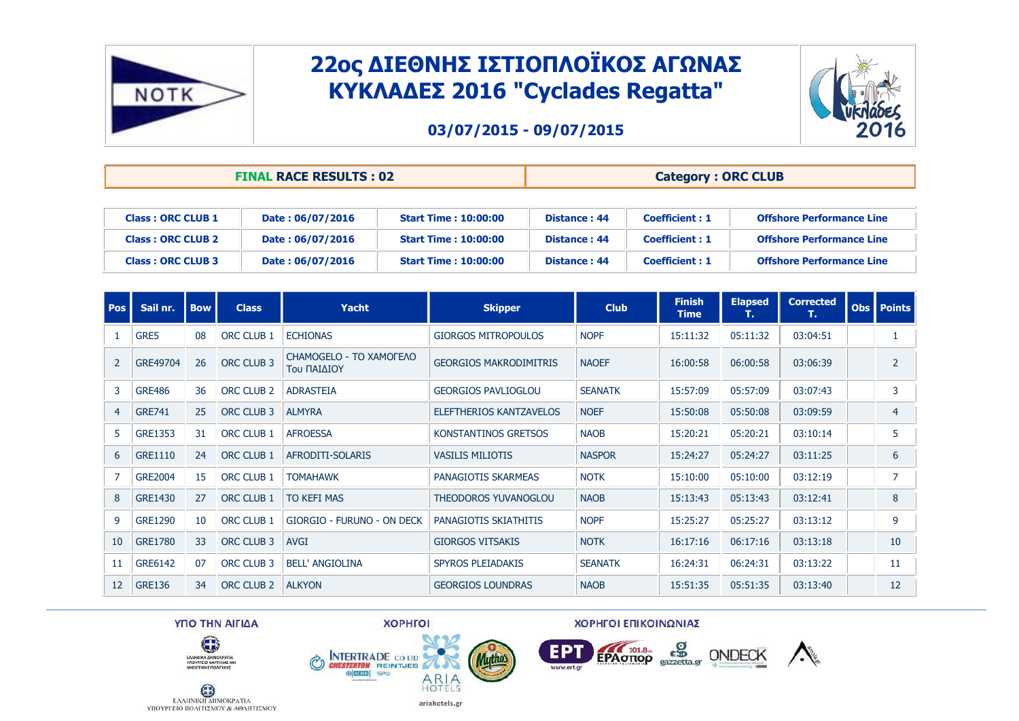

#### **03/07/2015 - 09/07/2015**



|                          | <b>FINAL RACE RESULTS: 02</b> |                             | <b>Category: ORC CLUB</b> |                       |                                  |  |  |
|--------------------------|-------------------------------|-----------------------------|---------------------------|-----------------------|----------------------------------|--|--|
|                          |                               |                             |                           |                       |                                  |  |  |
| <b>Class: ORC CLUB 1</b> | Date: 06/07/2016              | <b>Start Time: 10:00:00</b> | Distance: 44              | <b>Coefficient: 1</b> | <b>Offshore Performance Line</b> |  |  |
| <b>Class: ORC CLUB 2</b> | Date: 06/07/2016              | <b>Start Time: 10:00:00</b> | Distance: 44              | <b>Coefficient: 1</b> | <b>Offshore Performance Line</b> |  |  |
| <b>Class: ORC CLUB 3</b> | Date: 06/07/2016              | <b>Start Time: 10:00:00</b> | Distance: 44              | <b>Coefficient: 1</b> | <b>Offshore Performance Line</b> |  |  |

| <b>Pos</b>     | Sail nr.       | <b>Bow</b> | <b>Class</b>          | <b>Yacht</b>                           | <b>Skipper</b>                | <b>Club</b>    | <b>Finish</b><br><b>Time</b> | <b>Elapsed</b><br>т. | <b>Corrected</b><br>т. | Obs   Points   |
|----------------|----------------|------------|-----------------------|----------------------------------------|-------------------------------|----------------|------------------------------|----------------------|------------------------|----------------|
|                | GRE5           | 08         | ORC CLUB 1            | <b>ECHIONAS</b>                        | <b>GIORGOS MITROPOULOS</b>    | <b>NOPF</b>    | 15:11:32                     | 05:11:32             | 03:04:51               |                |
| $\overline{2}$ | GRE49704       | 26         | ORC CLUB 3            | CHAMOGELO - TO XAMOFEAO<br>Του ΠΑΙΔΙΟΥ | <b>GEORGIOS MAKRODIMITRIS</b> | <b>NAOEF</b>   | 16:00:58                     | 06:00:58             | 03:06:39               | $\overline{2}$ |
| 3              | <b>GRE486</b>  | 36         | ORC CLUB <sub>2</sub> | <b>ADRASTEIA</b>                       | <b>GEORGIOS PAVLIOGLOU</b>    | <b>SEANATK</b> | 15:57:09                     | 05:57:09             | 03:07:43               | 3              |
| $\overline{4}$ | <b>GRE741</b>  | 25         | ORC CLUB 3            | <b>ALMYRA</b>                          | ELEFTHERIOS KANTZAVELOS       | <b>NOEF</b>    | 15:50:08                     | 05:50:08             | 03:09:59               | 4              |
| 5              | GRE1353        | 31         | ORC CLUB 1            | <b>AFROESSA</b>                        | KONSTANTINOS GRETSOS          | <b>NAOB</b>    | 15:20:21                     | 05:20:21             | 03:10:14               | 5              |
| 6              | GRE1110        | 24         | ORC CLUB 1            | AFRODITI-SOLARIS                       | <b>VASILIS MILIOTIS</b>       | <b>NASPOR</b>  | 15:24:27                     | 05:24:27             | 03:11:25               | 6              |
| 7              | <b>GRE2004</b> | 15         | ORC CLUB 1            | <b>TOMAHAWK</b>                        | PANAGIOTIS SKARMEAS           | <b>NOTK</b>    | 15:10:00                     | 05:10:00             | 03:12:19               | 7              |
| 8              | GRE1430        | 27         | ORC CLUB 1            | TO KEFI MAS                            | THEODOROS YUVANOGLOU          | <b>NAOB</b>    | 15:13:43                     | 05:13:43             | 03:12:41               | 8              |
| 9              | <b>GRE1290</b> | 10         | ORC CLUB 1            | GIORGIO - FURUNO - ON DECK             | PANAGIOTIS SKIATHITIS         | <b>NOPF</b>    | 15:25:27                     | 05:25:27             | 03:13:12               | 9              |
| 10             | <b>GRE1780</b> | 33         | ORC CLUB 3            | <b>AVGI</b>                            | <b>GIORGOS VITSAKIS</b>       | <b>NOTK</b>    | 16:17:16                     | 06:17:16             | 03:13:18               | 10             |
| 11             | GRE6142        | 07         | ORC CLUB 3            | <b>BELL' ANGIOLINA</b>                 | <b>SPYROS PLEIADAKIS</b>      | <b>SEANATK</b> | 16:24:31                     | 06:24:31             | 03:13:22               | 11             |
| 12             | <b>GRE136</b>  | 34         | ORC CLUB 2            | <b>ALKYON</b>                          | <b>GEORGIOS LOUNDRAS</b>      | <b>NAOB</b>    | 15:51:35                     | 05:51:35             | 03:13:40               | 12             |

ΥΠΟ ΤΗΝ ΑΙΓΙΔΑ

**XOPHFOI** 

ΧΟΡΗΓΟΙ ΕΠΙΚΟΙΝΩΝΙΑΣ











 $\bigoplus_{\text{EAAHNIKH AHMOKPATH}}$ ΥΠΟΥΡΓΕΙΟ ΠΟΛΙΤΙΣΜΟΥ & ΑΘΛΗΤΙΣΜΟΥ



**Muthos**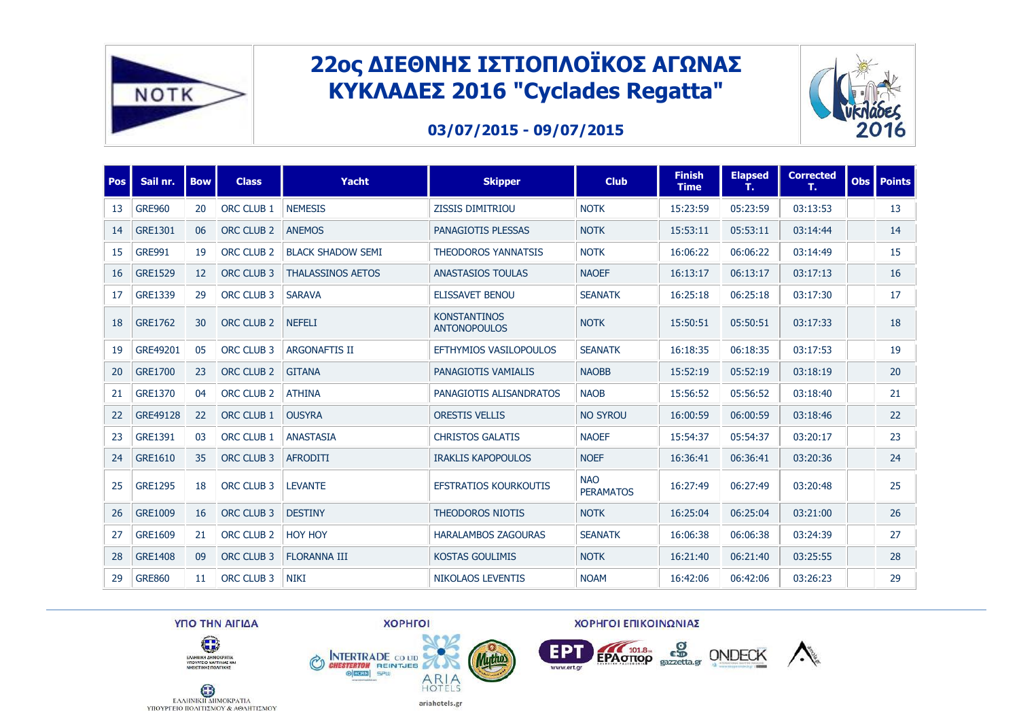

#### **03/07/2015 - 09/07/2015**



| <b>Pos</b> | Sail nr.       | <b>Bow</b> | <b>Class</b>          | Yacht                    | <b>Skipper</b>                             | <b>Club</b>                    | <b>Finish</b><br><b>Time</b> | <b>Elapsed</b><br>т. | <b>Corrected</b><br>т. | Obs | <b>Points</b> |
|------------|----------------|------------|-----------------------|--------------------------|--------------------------------------------|--------------------------------|------------------------------|----------------------|------------------------|-----|---------------|
| 13         | <b>GRE960</b>  | 20         | ORC CLUB 1            | <b>NEMESIS</b>           | <b>ZISSIS DIMITRIOU</b>                    | <b>NOTK</b>                    | 15:23:59                     | 05:23:59             | 03:13:53               |     | 13            |
| 14         | <b>GRE1301</b> | 06         | ORC CLUB <sub>2</sub> | <b>ANEMOS</b>            | PANAGIOTIS PLESSAS                         | <b>NOTK</b>                    | 15:53:11                     | 05:53:11             | 03:14:44               |     | 14            |
| 15         | <b>GRE991</b>  | 19         | ORC CLUB <sub>2</sub> | <b>BLACK SHADOW SEMI</b> | <b>THEODOROS YANNATSIS</b>                 | <b>NOTK</b>                    | 16:06:22                     | 06:06:22             | 03:14:49               |     | 15            |
| 16         | <b>GRE1529</b> | 12         | ORC CLUB 3            | <b>THALASSINOS AETOS</b> | <b>ANASTASIOS TOULAS</b>                   | <b>NAOEF</b>                   | 16:13:17                     | 06:13:17             | 03:17:13               |     | 16            |
| 17         | GRE1339        | 29         | ORC CLUB 3            | <b>SARAVA</b>            | <b>ELISSAVET BENOU</b>                     | <b>SEANATK</b>                 | 16:25:18                     | 06:25:18             | 03:17:30               |     | 17            |
| 18         | <b>GRE1762</b> | 30         | ORC CLUB <sub>2</sub> | <b>NEFELI</b>            | <b>KONSTANTINOS</b><br><b>ANTONOPOULOS</b> | <b>NOTK</b>                    | 15:50:51                     | 05:50:51             | 03:17:33               |     | 18            |
| 19         | GRE49201       | 05         | ORC CLUB 3            | <b>ARGONAFTIS II</b>     | EFTHYMIOS VASILOPOULOS                     | <b>SEANATK</b>                 | 16:18:35                     | 06:18:35             | 03:17:53               |     | 19            |
| 20         | <b>GRE1700</b> | 23         | ORC CLUB <sub>2</sub> | <b>GITANA</b>            | PANAGIOTIS VAMIALIS                        | <b>NAOBB</b>                   | 15:52:19                     | 05:52:19             | 03:18:19               |     | 20            |
| 21         | <b>GRE1370</b> | 04         | ORC CLUB <sub>2</sub> | <b>ATHINA</b>            | PANAGIOTIS ALISANDRATOS                    | <b>NAOB</b>                    | 15:56:52                     | 05:56:52             | 03:18:40               |     | 21            |
| 22         | GRE49128       | 22         | ORC CLUB 1            | <b>OUSYRA</b>            | <b>ORESTIS VELLIS</b>                      | <b>NO SYROU</b>                | 16:00:59                     | 06:00:59             | 03:18:46               |     | 22            |
| 23         | <b>GRE1391</b> | 03         | ORC CLUB 1            | <b>ANASTASIA</b>         | <b>CHRISTOS GALATIS</b>                    | <b>NAOEF</b>                   | 15:54:37                     | 05:54:37             | 03:20:17               |     | 23            |
| 24         | GRE1610        | 35         | ORC CLUB 3            | <b>AFRODITI</b>          | <b>IRAKLIS KAPOPOULOS</b>                  | <b>NOEF</b>                    | 16:36:41                     | 06:36:41             | 03:20:36               |     | 24            |
| 25         | <b>GRE1295</b> | 18         | ORC CLUB 3            | <b>LEVANTE</b>           | <b>EFSTRATIOS KOURKOUTIS</b>               | <b>NAO</b><br><b>PERAMATOS</b> | 16:27:49                     | 06:27:49             | 03:20:48               |     | 25            |
| 26         | <b>GRE1009</b> | 16         | ORC CLUB 3            | <b>DESTINY</b>           | <b>THEODOROS NIOTIS</b>                    | <b>NOTK</b>                    | 16:25:04                     | 06:25:04             | 03:21:00               |     | 26            |
| 27         | <b>GRE1609</b> | 21         | ORC CLUB <sub>2</sub> | <b>HOY HOY</b>           | <b>HARALAMBOS ZAGOURAS</b>                 | <b>SEANATK</b>                 | 16:06:38                     | 06:06:38             | 03:24:39               |     | 27            |
| 28         | <b>GRE1408</b> | 09         | <b>ORC CLUB 3</b>     | <b>FLORANNA III</b>      | <b>KOSTAS GOULIMIS</b>                     | <b>NOTK</b>                    | 16:21:40                     | 06:21:40             | 03:25:55               |     | 28            |
| 29         | <b>GRE860</b>  | 11         | ORC CLUB 3            | <b>NIKI</b>              | <b>NIKOLAOS LEVENTIS</b>                   | <b>NOAM</b>                    | 16:42:06                     | 06:42:06             | 03:26:23               |     | 29            |

ΥΠΟ ΤΗΝ ΑΙΓΙΔΑ

**XOPHFOI** 

ΧΟΡΗΓΟΙ ΕΠΙΚΟΙΝΩΝΙΑΣ











 $\bigoplus_{\text{EAAHNIKH AHMOKPATH}}$ ΥΠΟΥΡΓΕΙΟ ΠΟΛΙΤΙΣΜΟΥ & ΑΘΛΗΤΙΣΜΟΥ

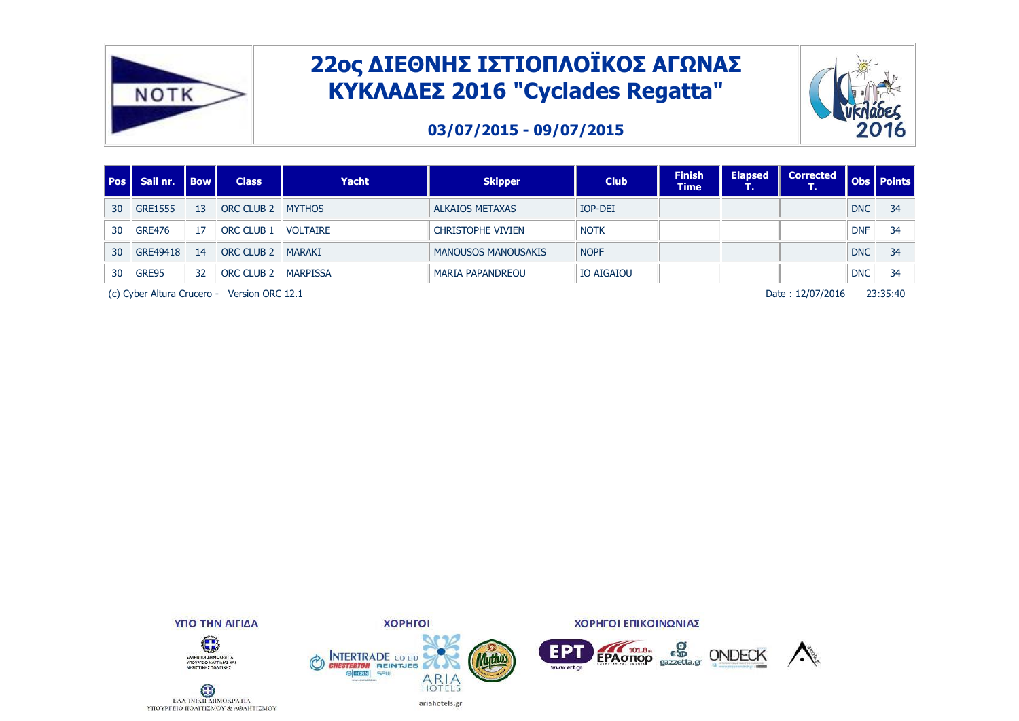

#### **03/07/2015 - 09/07/2015**



| l Pos II | Sail nr. 1 Bow 1 |    | <b>Class</b>          | <b>Yacht</b>    | <b>Skipper</b>             | <b>Club</b>       | <b>Finish</b><br><b>Time</b> | <b>Elapsed</b><br>т. | <b>Corrected</b><br>-<br>. . |            | Obs Points |
|----------|------------------|----|-----------------------|-----------------|----------------------------|-------------------|------------------------------|----------------------|------------------------------|------------|------------|
| 30       | <b>GRE1555</b>   | 13 | ORC CLUB 2            | <b>MYTHOS</b>   | <b>ALKAIOS METAXAS</b>     | IOP-DEI           |                              |                      |                              | DNC        | 34         |
| 30       | <b>GRE476</b>    | 17 | ORC CLUB 1            | <b>VOLTAIRE</b> | <b>CHRISTOPHE VIVIEN</b>   | <b>NOTK</b>       |                              |                      |                              | <b>DNF</b> | 34         |
| 30       | GRE49418         | 14 | ORC CLUB <sub>2</sub> | <b>MARAKI</b>   | <b>MANOUSOS MANOUSAKIS</b> | <b>NOPF</b>       |                              |                      |                              | <b>DNC</b> | 34         |
| 30       | GRE95            | 32 | ORC CLUB <sub>2</sub> | <b>MARPISSA</b> | <b>MARIA PAPANDREOU</b>    | <b>IO AIGAIOU</b> |                              |                      |                              | <b>DNC</b> | 34         |

(c) Cyber Altura Crucero - Version ORC 12.1 **Participal Crucero - Version ORC 12.1** Pate : 12/07/2016 23:35:40

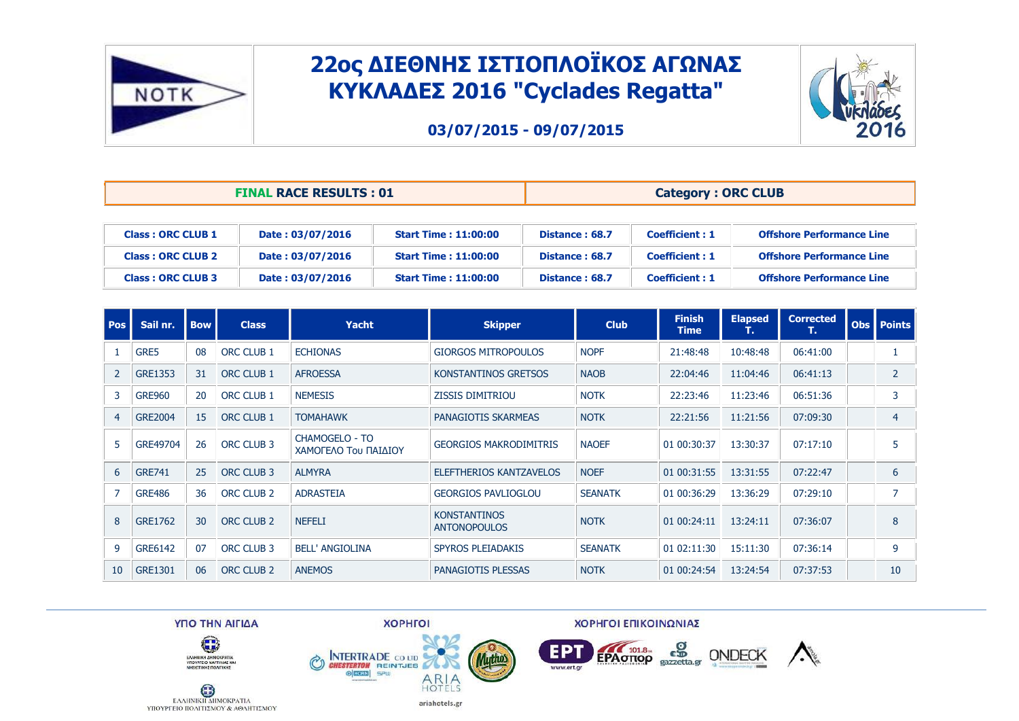

#### **03/07/2015 - 09/07/2015**



|                          | <b>FINAL RACE RESULTS: 01</b> |                             | <b>Category: ORC CLUB</b> |                       |                                  |  |  |  |
|--------------------------|-------------------------------|-----------------------------|---------------------------|-----------------------|----------------------------------|--|--|--|
|                          |                               |                             |                           |                       |                                  |  |  |  |
| <b>Class: ORC CLUB 1</b> | Date: 03/07/2016              | <b>Start Time: 11:00:00</b> | Distance: 68.7            | <b>Coefficient: 1</b> | <b>Offshore Performance Line</b> |  |  |  |
| <b>Class: ORC CLUB 2</b> | Date: 03/07/2016              | <b>Start Time: 11:00:00</b> | Distance: 68.7            | <b>Coefficient: 1</b> | <b>Offshore Performance Line</b> |  |  |  |
| <b>Class: ORC CLUB 3</b> | Date: 03/07/2016              | <b>Start Time: 11:00:00</b> | Distance: 68.7            | <b>Coefficient: 1</b> | <b>Offshore Performance Line</b> |  |  |  |

| <b>Pos</b>     | Sail nr.       | <b>Bow</b> | <b>Class</b> | Yacht                                         | <b>Skipper</b>                             | <b>Club</b>    | <b>Finish</b><br><b>Time</b> | <b>Elapsed</b><br>т. | <b>Corrected</b><br>т. | <b>Obs</b> Points |
|----------------|----------------|------------|--------------|-----------------------------------------------|--------------------------------------------|----------------|------------------------------|----------------------|------------------------|-------------------|
|                | GRE5           | 08         | ORC CLUB 1   | <b>ECHIONAS</b>                               | <b>GIORGOS MITROPOULOS</b>                 | <b>NOPF</b>    | 21:48:48                     | 10:48:48             | 06:41:00               |                   |
| 2              | <b>GRE1353</b> | 31         | ORC CLUB 1   | <b>AFROESSA</b>                               | KONSTANTINOS GRETSOS                       | <b>NAOB</b>    | 22:04:46                     | 11:04:46             | 06:41:13               | $\overline{2}$    |
| 3              | <b>GRE960</b>  | 20         | ORC CLUB 1   | <b>NEMESIS</b>                                | <b>ZISSIS DIMITRIOU</b>                    | <b>NOTK</b>    | 22:23:46                     | 11:23:46             | 06:51:36               | 3                 |
| $\overline{4}$ | <b>GRE2004</b> | 15         | ORC CLUB 1   | <b>TOMAHAWK</b>                               | PANAGIOTIS SKARMEAS                        | <b>NOTK</b>    | 22:21:56                     | 11:21:56             | 07:09:30               | 4                 |
| 5              | GRE49704       | 26         | ORC CLUB 3   | <b>CHAMOGELO - TO</b><br>ΧΑΜΟΓΕΛΟ Του ΠΑΙΔΙΟΥ | <b>GEORGIOS MAKRODIMITRIS</b>              | <b>NAOEF</b>   | 01 00:30:37                  | 13:30:37             | 07:17:10               | 5                 |
| 6              | <b>GRE741</b>  | 25         | ORC CLUB 3   | <b>ALMYRA</b>                                 | ELEFTHERIOS KANTZAVELOS                    | <b>NOEF</b>    | 01 00:31:55                  | 13:31:55             | 07:22:47               | 6                 |
| 7              | <b>GRE486</b>  | 36         | ORC CLUB 2   | <b>ADRASTEIA</b>                              | <b>GEORGIOS PAVLIOGLOU</b>                 | <b>SEANATK</b> | 01 00:36:29                  | 13:36:29             | 07:29:10               | 7                 |
| 8              | <b>GRE1762</b> | 30         | ORC CLUB 2   | <b>NEFELI</b>                                 | <b>KONSTANTINOS</b><br><b>ANTONOPOULOS</b> | <b>NOTK</b>    | 01 00:24:11                  | 13:24:11             | 07:36:07               | 8                 |
| 9              | GRE6142        | 07         | ORC CLUB 3   | <b>BELL' ANGIOLINA</b>                        | <b>SPYROS PLEIADAKIS</b>                   | <b>SEANATK</b> | 01 02:11:30                  | 15:11:30             | 07:36:14               | 9                 |
| 10             | <b>GRE1301</b> | 06         | ORC CLUB 2   | <b>ANEMOS</b>                                 | PANAGIOTIS PLESSAS                         | <b>NOTK</b>    | 01 00:24:54                  | 13:24:54             | 07:37:53               | 10                |

**Muthos** 



**XOPHFOI** 

ΧΟΡΗΓΟΙ ΕΠΙΚΟΙΝΩΝΙΑΣ



 $\bigoplus_{\text{EAAHNIKH AHMOKPATH}}$ 

ΥΠΟΥΡΓΕΙΟ ΠΟΛΙΤΙΣΜΟΥ & ΑΘΛΗΤΙΣΜΟΥ



ariahotels.gr





**ONDECK**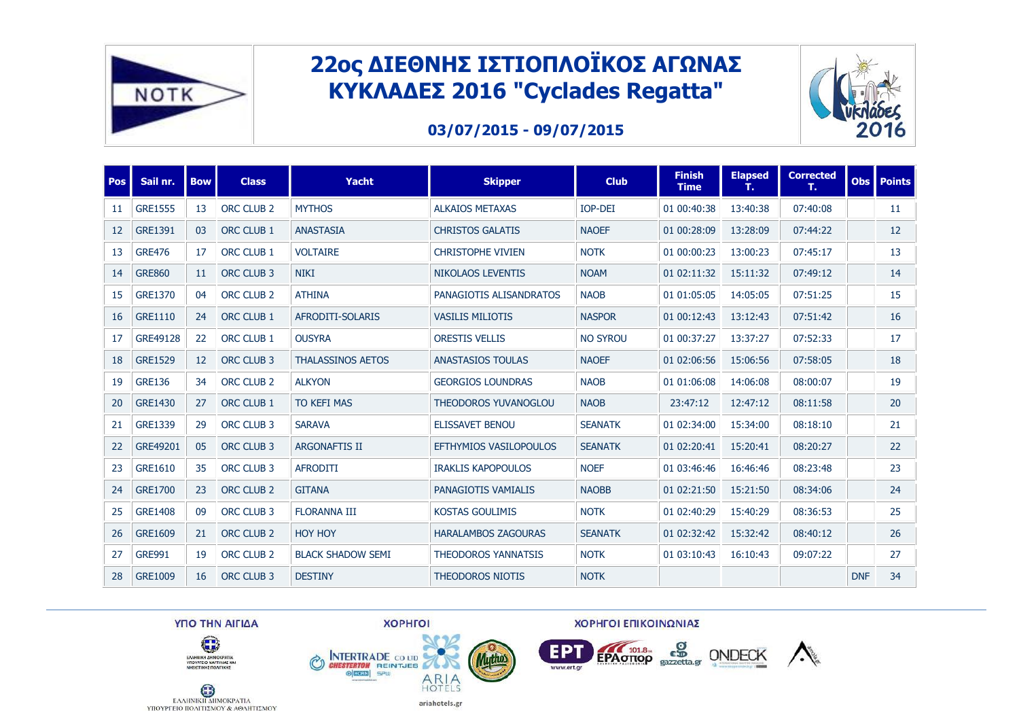

#### **03/07/2015 - 09/07/2015**





G

**INOVPERIO NAYTIAIAT KI** 

**FAAHNIKH AHMOKP** 



ΧΟΡΗΓΟΙ ΕΠΙΚΟΙΝΩΝΙΑΣ

 $\epsilon$ g

gazzetta gr











Œ **EAAHNIKH AHMOKPATIA** ΥΠΟΥΡΓΕΙΟ ΠΟΛΙΤΙΣΜΟΥ & ΑΘΛΗΤΙΣΜΟΥ